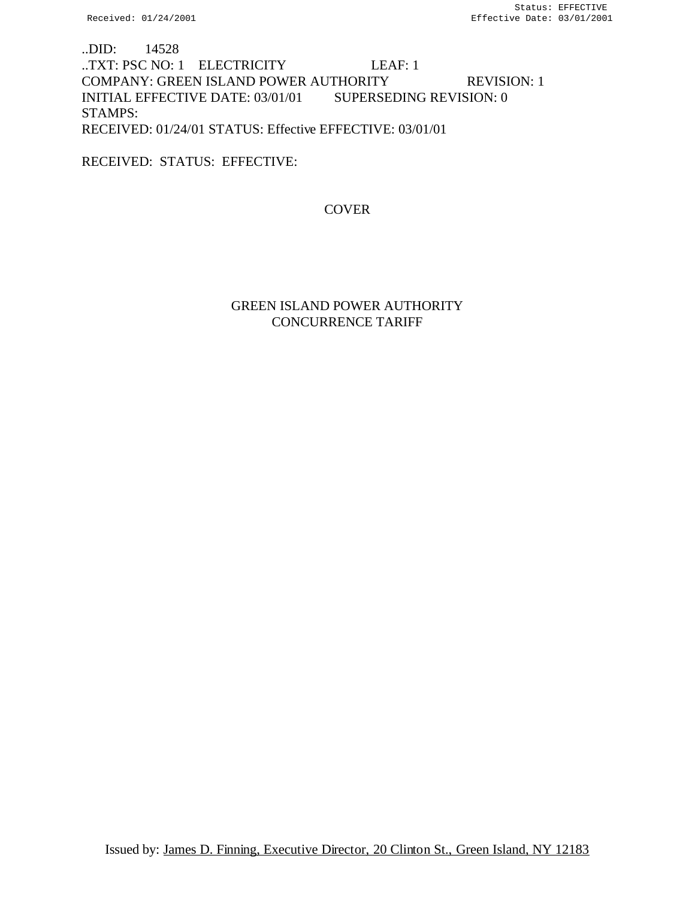..DID: 14528 ..TXT: PSC NO: 1 ELECTRICITY LEAF: 1 COMPANY: GREEN ISLAND POWER AUTHORITY REVISION: 1 INITIAL EFFECTIVE DATE: 03/01/01 SUPERSEDING REVISION: 0 STAMPS: RECEIVED: 01/24/01 STATUS: Effective EFFECTIVE: 03/01/01

RECEIVED: STATUS: EFFECTIVE:

**COVER** 

# GREEN ISLAND POWER AUTHORITY CONCURRENCE TARIFF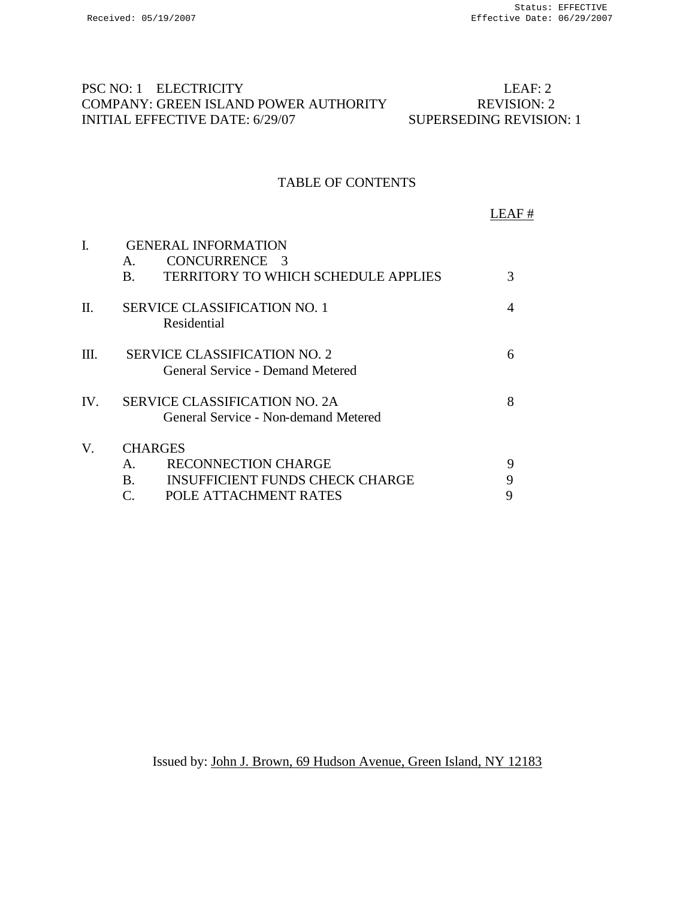# PSC NO: 1 ELECTRICITY LEAF: 2 COMPANY: GREEN ISLAND POWER AUTHORITY REVISION: 2<br>INITIAL EFFECTIVE DATE: 6/29/07 SUPERSEDING REVISION: 1 INITIAL EFFECTIVE DATE: 6/29/07

# TABLE OF CONTENTS

LEAF #

| I.      | <b>GENERAL INFORMATION</b> |                                                                              |   |  |  |
|---------|----------------------------|------------------------------------------------------------------------------|---|--|--|
|         | Α.                         | CONCURRENCE 3                                                                |   |  |  |
|         | B.                         | TERRITORY TO WHICH SCHEDULE APPLIES                                          | 3 |  |  |
| $\Pi$ . |                            | <b>SERVICE CLASSIFICATION NO. 1</b><br>Residential                           |   |  |  |
| III.    |                            | <b>SERVICE CLASSIFICATION NO. 2</b><br>General Service - Demand Metered      | 6 |  |  |
| IV.     |                            | <b>SERVICE CLASSIFICATION NO. 2A</b><br>General Service - Non-demand Metered | 8 |  |  |
| V.      | <b>CHARGES</b>             |                                                                              |   |  |  |
|         | $A_{\cdot}$                | <b>RECONNECTION CHARGE</b>                                                   | 9 |  |  |
|         | $\mathbf{B}$ .             | <b>INSUFFICIENT FUNDS CHECK CHARGE</b>                                       |   |  |  |
|         | C.                         | POLE ATTACHMENT RATES                                                        |   |  |  |

Issued by: John J. Brown, 69 Hudson Avenue, Green Island, NY 12183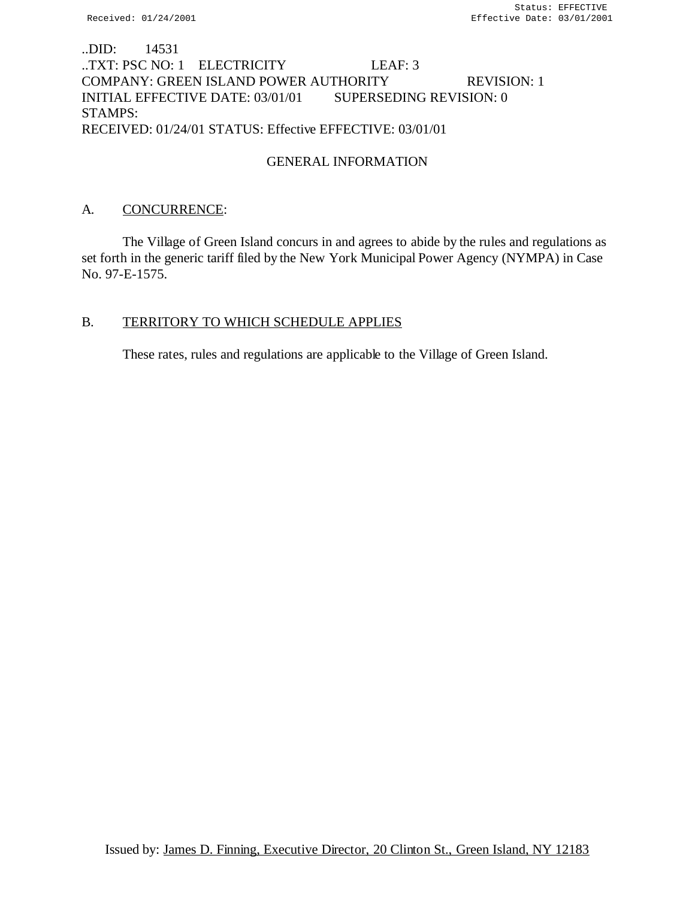# ..DID: 14531 ..TXT: PSC NO: 1 ELECTRICITY LEAF: 3 COMPANY: GREEN ISLAND POWER AUTHORITY REVISION: 1 INITIAL EFFECTIVE DATE: 03/01/01 SUPERSEDING REVISION: 0 STAMPS: RECEIVED: 01/24/01 STATUS: Effective EFFECTIVE: 03/01/01

# GENERAL INFORMATION

# A. CONCURRENCE:

The Village of Green Island concurs in and agrees to abide by the rules and regulations as set forth in the generic tariff filed by the New York Municipal Power Agency (NYMPA) in Case No. 97-E-1575.

# B. TERRITORY TO WHICH SCHEDULE APPLIES

These rates, rules and regulations are applicable to the Village of Green Island.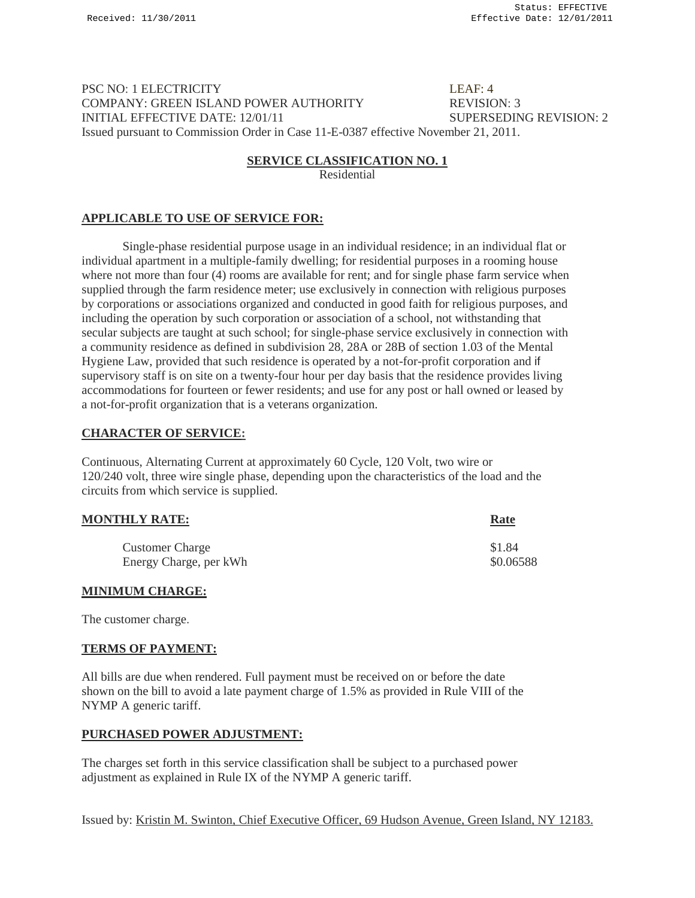#### PSC NO: 1 ELECTRICITY LEAF: 4 COMPANY: GREEN ISLAND POWER AUTHORITY REVISION: 3 INITIAL EFFECTIVE DATE: 12/01/11 SUPERSEDING REVISION: 2 Issued pursuant to Commission Order in Case 11-E-0387 effective November 21, 2011.

#### **SERVICE CLASSIFICATION NO. 1**

Residential

### **APPLICABLE TO USE OF SERVICE FOR:**

Single-phase residential purpose usage in an individual residence; in an individual flat or individual apartment in a multiple-family dwelling; for residential purposes in a rooming house where not more than four (4) rooms are available for rent; and for single phase farm service when supplied through the farm residence meter; use exclusively in connection with religious purposes by corporations or associations organized and conducted in good faith for religious purposes, and including the operation by such corporation or association of a school, not withstanding that secular subjects are taught at such school; for single-phase service exclusively in connection with a community residence as defined in subdivision 28, 28A or 28B of section 1.03 of the Mental Hygiene Law, provided that such residence is operated by a not-for-profit corporation and if supervisory staff is on site on a twenty-four hour per day basis that the residence provides living accommodations for fourteen or fewer residents; and use for any post or hall owned or leased by a not-for-profit organization that is a veterans organization.

#### **CHARACTER OF SERVICE:**

Continuous, Alternating Current at approximately 60 Cycle, 120 Volt, two wire or 120/240 volt, three wire single phase, depending upon the characteristics of the load and the circuits from which service is supplied.

| <b>MONTHLY RATE:</b>   | <b>Rate</b> |
|------------------------|-------------|
| <b>Customer Charge</b> | \$1.84      |
| Energy Charge, per kWh | \$0.06588   |

#### **MINIMUM CHARGE:**

The customer charge.

#### **TERMS OF PAYMENT:**

All bills are due when rendered. Full payment must be received on or before the date shown on the bill to avoid a late payment charge of 1.5% as provided in Rule VIII of the NYMP A generic tariff.

#### **PURCHASED POWER ADJUSTMENT:**

The charges set forth in this service classification shall be subject to a purchased power adjustment as explained in Rule IX of the NYMP A generic tariff.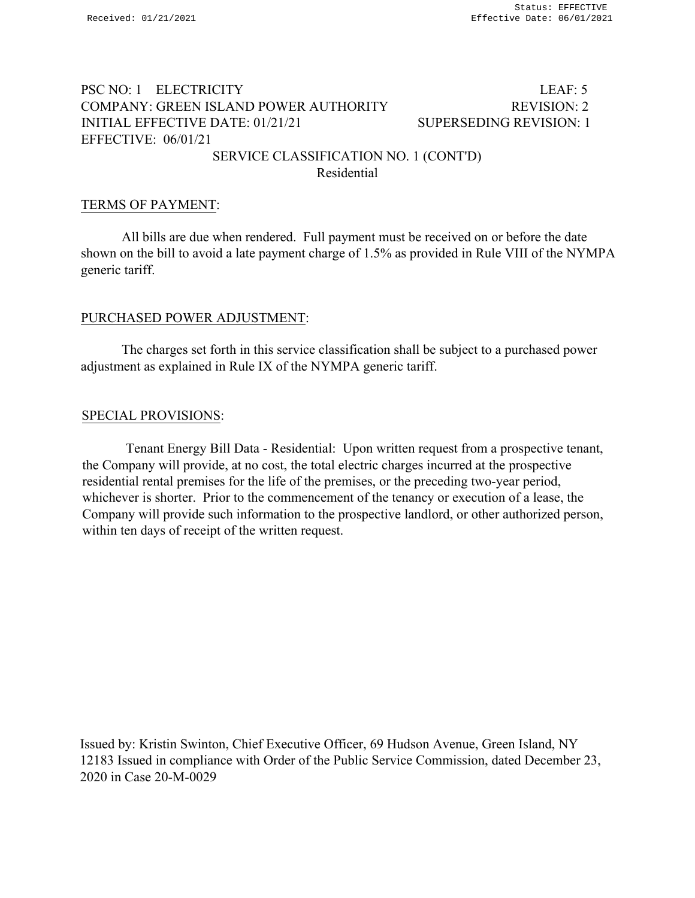# PSC NO: 1 ELECTRICITY LEAF: 5 COMPANY: GREEN ISLAND POWER AUTHORITY REVISION: 2 INITIAL EFFECTIVE DATE: 01/21/21 SUPERSEDING REVISION: 1 EFFECTIVE: 06/01/21

# SERVICE CLASSIFICATION NO. 1 (CONT'D) Residential

# TERMS OF PAYMENT:

All bills are due when rendered. Full payment must be received on or before the date shown on the bill to avoid a late payment charge of 1.5% as provided in Rule VIII of the NYMPA generic tariff.

# PURCHASED POWER ADJUSTMENT:

The charges set forth in this service classification shall be subject to a purchased power adjustment as explained in Rule IX of the NYMPA generic tariff.

# SPECIAL PROVISIONS:

Tenant Energy Bill Data - Residential: Upon written request from a prospective tenant, the Company will provide, at no cost, the total electric charges incurred at the prospective residential rental premises for the life of the premises, or the preceding two-year period, whichever is shorter. Prior to the commencement of the tenancy or execution of a lease, the Company will provide such information to the prospective landlord, or other authorized person, within ten days of receipt of the written request.

Issued by: Kristin Swinton, Chief Executive Officer, 69 Hudson Avenue, Green Island, NY 12183 Issued in compliance with Order of the Public Service Commission, dated December 23, 2020 in Case 20-M-0029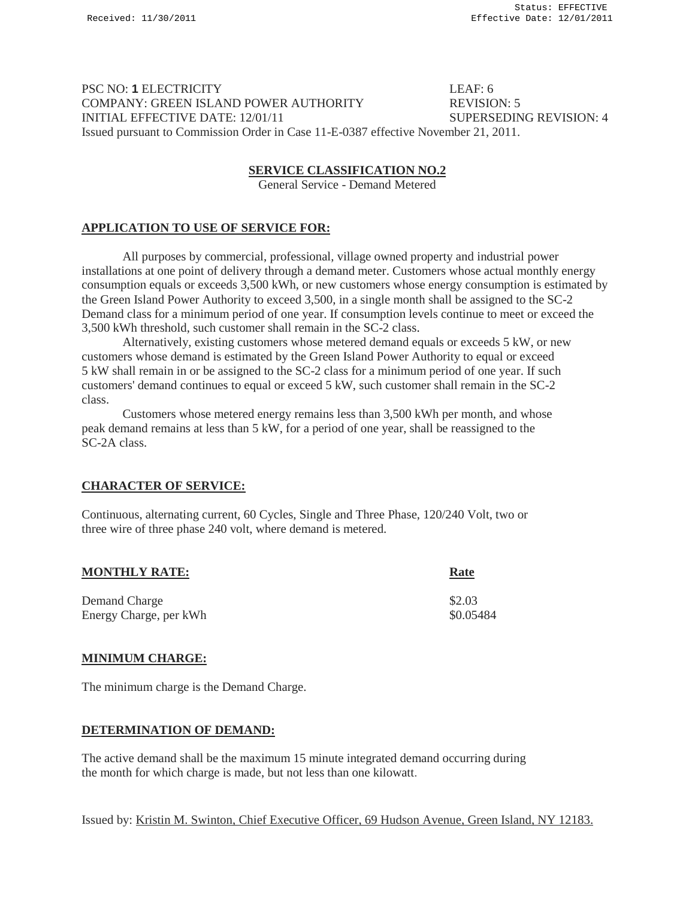PSC NO: **1 ELECTRICITY** LEAF: 6 COMPANY: GREEN ISLAND POWER AUTHORITY REVISION: 5 INITIAL EFFECTIVE DATE: 12/01/11 SUPERSEDING REVISION: 4 Issued pursuant to Commission Order in Case 11-E-0387 effective November 21, 2011.

#### **SERVICE CLASSIFICATION NO.2**

General Service - Demand Metered

### **APPLICATION TO USE OF SERVICE FOR:**

All purposes by commercial, professional, village owned property and industrial power installations at one point of delivery through a demand meter. Customers whose actual monthly energy consumption equals or exceeds 3,500 kWh, or new customers whose energy consumption is estimated by the Green Island Power Authority to exceed 3,500, in a single month shall be assigned to the SC-2 Demand class for a minimum period of one year. If consumption levels continue to meet or exceed the 3,500 kWh threshold, such customer shall remain in the SC-2 class.

Alternatively, existing customers whose metered demand equals or exceeds 5 kW, or new customers whose demand is estimated by the Green Island Power Authority to equal or exceed 5 kW shall remain in or be assigned to the SC-2 class for a minimum period of one year. If such customers' demand continues to equal or exceed 5 kW, such customer shall remain in the SC-2 class.

Customers whose metered energy remains less than 3,500 kWh per month, and whose peak demand remains at less than 5 kW, for a period of one year, shall be reassigned to the SC-2A class.

# **CHARACTER OF SERVICE:**

Continuous, alternating current, 60 Cycles, Single and Three Phase, 120/240 Volt, two or three wire of three phase 240 volt, where demand is metered.

| <b>MONTHLY RATE:</b>   | Rate      |
|------------------------|-----------|
| Demand Charge          | \$2.03    |
| Energy Charge, per kWh | \$0.05484 |

#### **MINIMUM CHARGE:**

The minimum charge is the Demand Charge.

#### **DETERMINATION OF DEMAND:**

The active demand shall be the maximum 15 minute integrated demand occurring during the month for which charge is made, but not less than one kilowatt.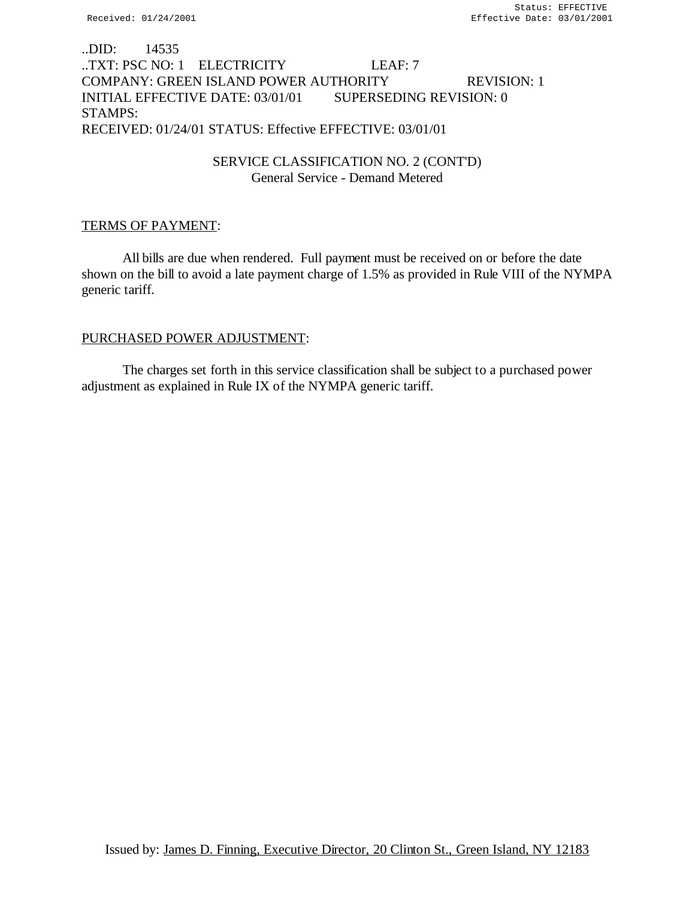# ..DID: 14535 ..TXT: PSC NO: 1 ELECTRICITY LEAF: 7 COMPANY: GREEN ISLAND POWER AUTHORITY REVISION: 1 INITIAL EFFECTIVE DATE: 03/01/01 SUPERSEDING REVISION: 0 STAMPS: RECEIVED: 01/24/01 STATUS: Effective EFFECTIVE: 03/01/01

# SERVICE CLASSIFICATION NO. 2 (CONT'D) General Service - Demand Metered

## TERMS OF PAYMENT:

All bills are due when rendered. Full payment must be received on or before the date shown on the bill to avoid a late payment charge of 1.5% as provided in Rule VIII of the NYMPA generic tariff.

### PURCHASED POWER ADJUSTMENT:

The charges set forth in this service classification shall be subject to a purchased power adjustment as explained in Rule IX of the NYMPA generic tariff.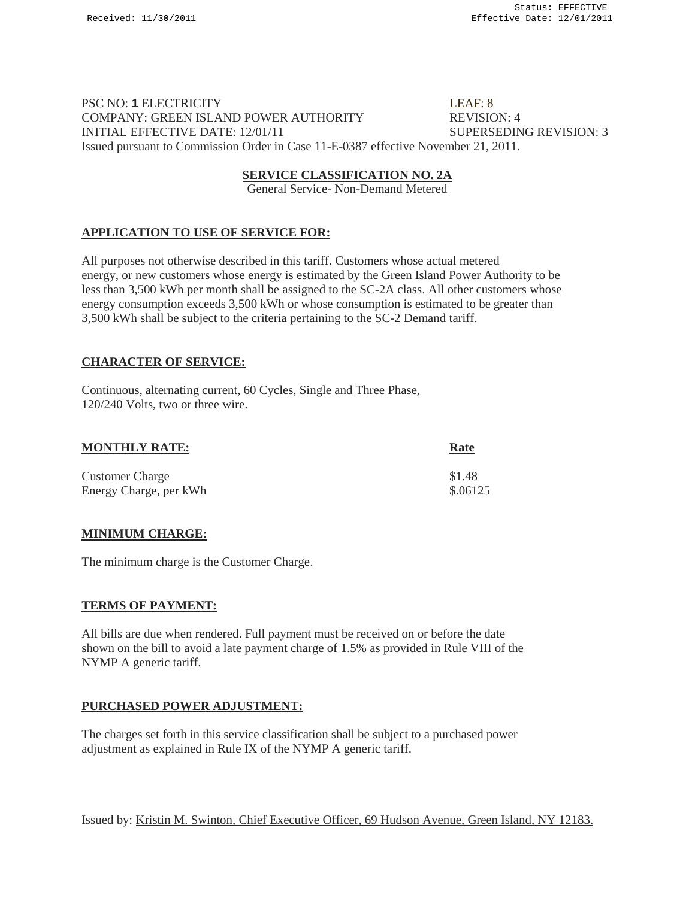# PSC NO: **1** ELECTRICITY LEAF: 8 COMPANY: GREEN ISLAND POWER AUTHORITY REVISION: 4 INITIAL EFFECTIVE DATE: 12/01/11 SUPERSEDING REVISION: 3 Issued pursuant to Commission Order in Case 11-E-0387 effective November 21, 2011.

#### **SERVICE CLASSIFICATION NO. 2A**

General Service- Non-Demand Metered

### **APPLICATION TO USE OF SERVICE FOR:**

All purposes not otherwise described in this tariff. Customers whose actual metered energy, or new customers whose energy is estimated by the Green Island Power Authority to be less than 3,500 kWh per month shall be assigned to the SC-2A class. All other customers whose energy consumption exceeds 3,500 kWh or whose consumption is estimated to be greater than 3,500 kWh shall be subject to the criteria pertaining to the SC-2 Demand tariff.

### **CHARACTER OF SERVICE:**

Continuous, alternating current, 60 Cycles, Single and Three Phase, 120/240 Volts, two or three wire.

| <b>MONTHLY RATE:</b>   | <b>Rate</b> |
|------------------------|-------------|
| <b>Customer Charge</b> | \$1.48      |
| Energy Charge, per kWh | \$.06125    |

#### **MINIMUM CHARGE:**

The minimum charge is the Customer Charge.

#### **TERMS OF PAYMENT:**

All bills are due when rendered. Full payment must be received on or before the date shown on the bill to avoid a late payment charge of 1.5% as provided in Rule VIII of the NYMP A generic tariff.

#### **PURCHASED POWER ADJUSTMENT:**

The charges set forth in this service classification shall be subject to a purchased power adjustment as explained in Rule IX of the NYMP A generic tariff.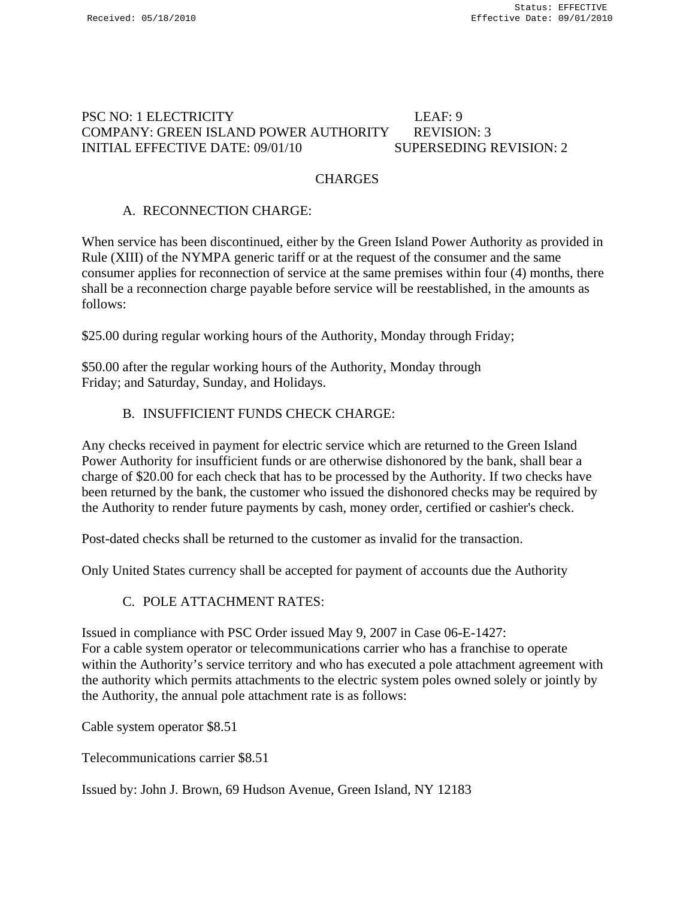# PSC NO: 1 ELECTRICITY LEAF: 9 COMPANY: GREEN ISLAND POWER AUTHORITY REVISION: 3 INITIAL EFFECTIVE DATE: 09/01/10 SUPERSEDING REVISION: 2

# **CHARGES**

# A. RECONNECTION CHARGE:

When service has been discontinued, either by the Green Island Power Authority as provided in Rule (XIII) of the NYMPA generic tariff or at the request of the consumer and the same consumer applies for reconnection of service at the same premises within four (4) months, there shall be a reconnection charge payable before service will be reestablished, in the amounts as follows:

\$25.00 during regular working hours of the Authority, Monday through Friday;

\$50.00 after the regular working hours of the Authority, Monday through Friday; and Saturday, Sunday, and Holidays.

# B. INSUFFICIENT FUNDS CHECK CHARGE:

Any checks received in payment for electric service which are returned to the Green Island Power Authority for insufficient funds or are otherwise dishonored by the bank, shall bear a charge of \$20.00 for each check that has to be processed by the Authority. If two checks have been returned by the bank, the customer who issued the dishonored checks may be required by the Authority to render future payments by cash, money order, certified or cashier's check.

Post-dated checks shall be returned to the customer as invalid for the transaction.

Only United States currency shall be accepted for payment of accounts due the Authority

# C. POLE ATTACHMENT RATES:

Issued in compliance with PSC Order issued May 9, 2007 in Case 06-E-1427: For a cable system operator or telecommunications carrier who has a franchise to operate within the Authority's service territory and who has executed a pole attachment agreement with the authority which permits attachments to the electric system poles owned solely or jointly by the Authority, the annual pole attachment rate is as follows:

Cable system operator \$8.51

Telecommunications carrier \$8.51

Issued by: John J. Brown, 69 Hudson Avenue, Green Island, NY 12183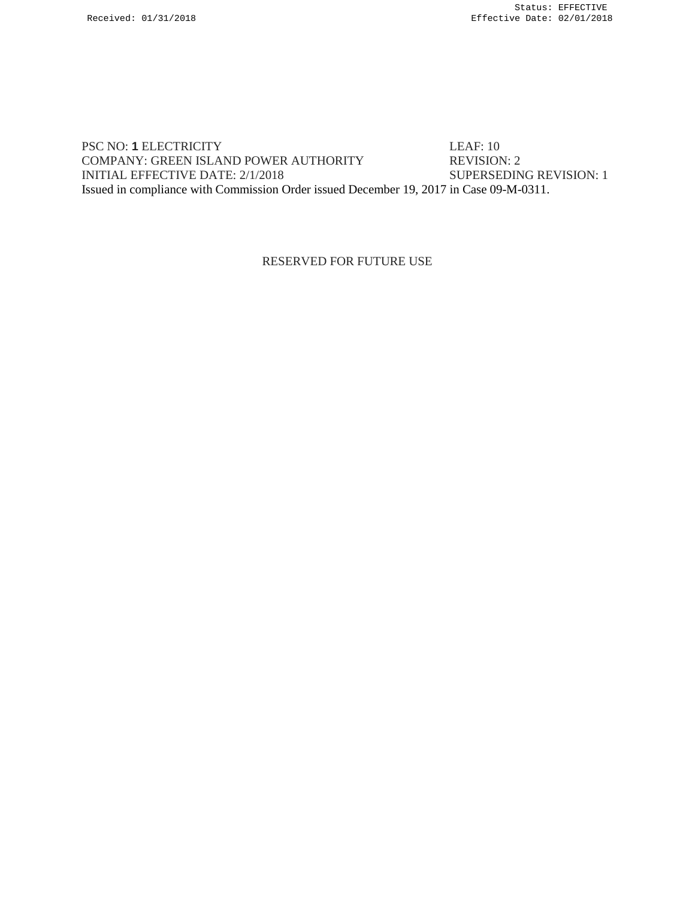PSC NO: **1 ELECTRICITY** LEAF: 10<br>
COMPANY: GREEN ISLAND POWER AUTHORITY REVISION: 2 COMPANY: GREEN ISLAND POWER AUTHORITY INITIAL EFFECTIVE DATE: 2/1/2018 SUPERSEDING REVISION: 1 Issued in compliance with Commission Order issued December 19, 2017 in Case 09-M-0311.

RESERVED FOR FUTURE USE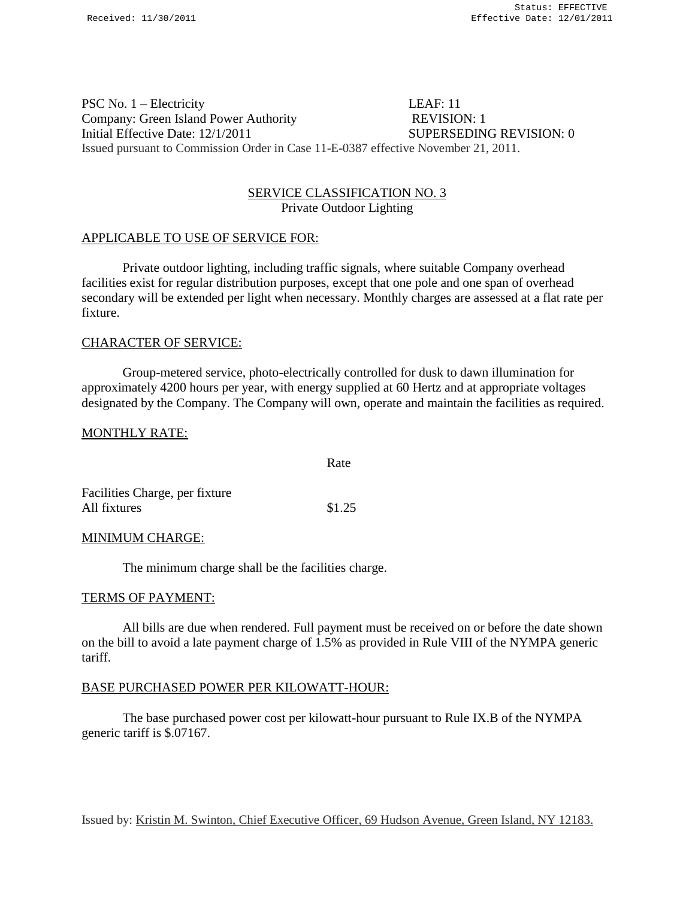### PSC No. 1 – Electricity LEAF: 11 Company: Green Island Power Authority REVISION: 1 Initial Effective Date: 12/1/2011 SUPERSEDING REVISION: 0 Issued pursuant to Commission Order in Case 11-E-0387 effective November 21, 2011.

#### SERVICE CLASSIFICATION NO. 3 Private Outdoor Lighting

#### APPLICABLE TO USE OF SERVICE FOR:

Private outdoor lighting, including traffic signals, where suitable Company overhead facilities exist for regular distribution purposes, except that one pole and one span of overhead secondary will be extended per light when necessary. Monthly charges are assessed at a flat rate per fixture.

#### CHARACTER OF SERVICE:

Group-metered service, photo-electrically controlled for dusk to dawn illumination for approximately 4200 hours per year, with energy supplied at 60 Hertz and at appropriate voltages designated by the Company. The Company will own, operate and maintain the facilities as required.

Rate

#### MONTHLY RATE:

| Facilities Charge, per fixture |        |
|--------------------------------|--------|
| All fixtures                   | \$1.25 |

#### MINIMUM CHARGE:

The minimum charge shall be the facilities charge.

#### TERMS OF PAYMENT:

All bills are due when rendered. Full payment must be received on or before the date shown on the bill to avoid a late payment charge of 1.5% as provided in Rule VIII of the NYMPA generic tariff.

#### BASE PURCHASED POWER PER KILOWATT-HOUR:

The base purchased power cost per kilowatt-hour pursuant to Rule IX.B of the NYMPA generic tariff is \$.07167.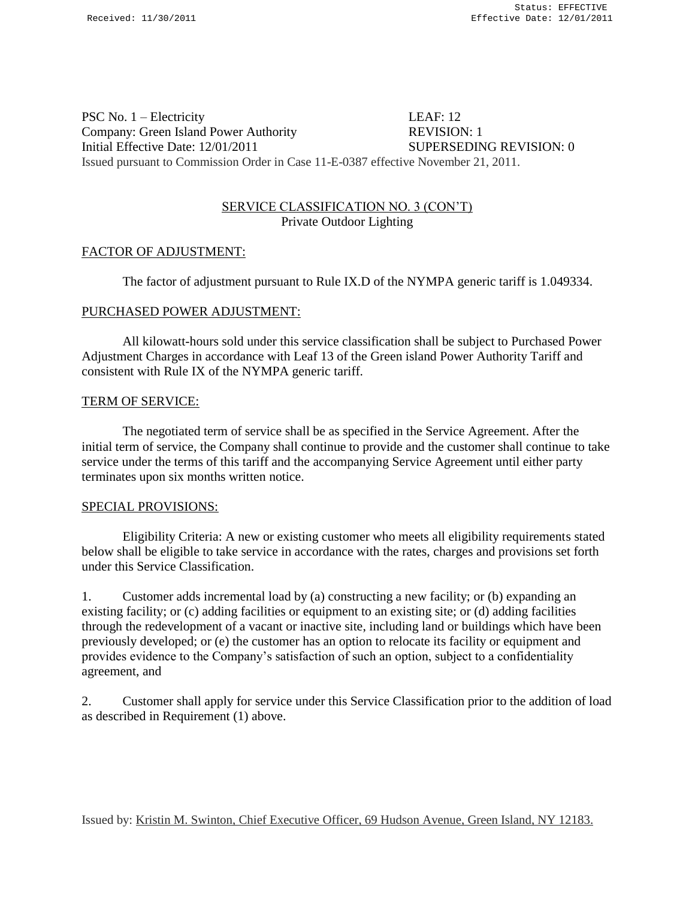PSC No. 1 – Electricity LEAF: 12 Company: Green Island Power Authority REVISION: 1 Initial Effective Date: 12/01/2011 SUPERSEDING REVISION: 0 Issued pursuant to Commission Order in Case 11-E-0387 effective November 21, 2011.

# SERVICE CLASSIFICATION NO. 3 (CON'T) Private Outdoor Lighting

### FACTOR OF ADJUSTMENT:

The factor of adjustment pursuant to Rule IX.D of the NYMPA generic tariff is 1.049334.

#### PURCHASED POWER ADJUSTMENT:

All kilowatt-hours sold under this service classification shall be subject to Purchased Power Adjustment Charges in accordance with Leaf 13 of the Green island Power Authority Tariff and consistent with Rule IX of the NYMPA generic tariff.

#### TERM OF SERVICE:

The negotiated term of service shall be as specified in the Service Agreement. After the initial term of service, the Company shall continue to provide and the customer shall continue to take service under the terms of this tariff and the accompanying Service Agreement until either party terminates upon six months written notice.

#### SPECIAL PROVISIONS:

Eligibility Criteria: A new or existing customer who meets all eligibility requirements stated below shall be eligible to take service in accordance with the rates, charges and provisions set forth under this Service Classification.

1. Customer adds incremental load by (a) constructing a new facility; or (b) expanding an existing facility; or (c) adding facilities or equipment to an existing site; or (d) adding facilities through the redevelopment of a vacant or inactive site, including land or buildings which have been previously developed; or (e) the customer has an option to relocate its facility or equipment and provides evidence to the Company's satisfaction of such an option, subject to a confidentiality agreement, and

2. Customer shall apply for service under this Service Classification prior to the addition of load as described in Requirement (1) above.